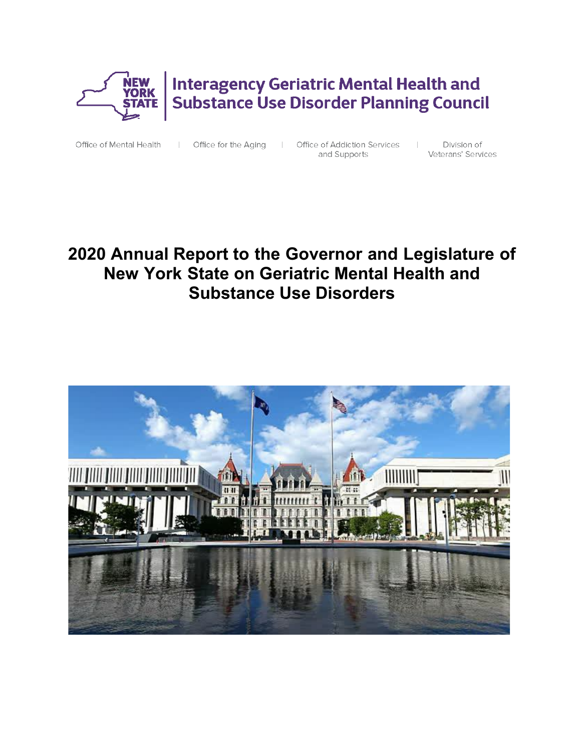

**Interagency Geriatric Mental Health and Substance Use Disorder Planning Council** 

Office of Mental Health

| Office for the Aging

 $\mathbb{R}$ Office of Addiction Services  $\sim$  100  $\pm$ and Supports

Division of Veterans' Services

# **2020 Annual Report to the Governor and Legislature of New York State on Geriatric Mental Health and Substance Use Disorders**

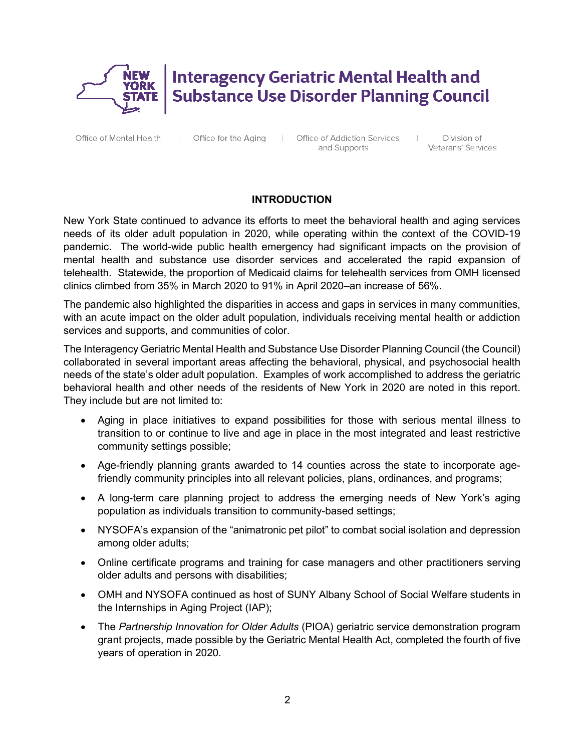

# **Interagency Geriatric Mental Health and Substance Use Disorder Planning Council**

Office of Mental Health

Office for the Aging |

Office of Addiction Services and Supports

Division of Veterans' Services

 $\mathbb{R}$ 

## **INTRODUCTION**

New York State continued to advance its efforts to meet the behavioral health and aging services needs of its older adult population in 2020, while operating within the context of the COVID-19 pandemic. The world-wide public health emergency had significant impacts on the provision of mental health and substance use disorder services and accelerated the rapid expansion of telehealth. Statewide, the proportion of Medicaid claims for telehealth services from OMH licensed clinics climbed from 35% in March 2020 to 91% in April 2020–an increase of 56%.

The pandemic also highlighted the disparities in access and gaps in services in many communities, with an acute impact on the older adult population, individuals receiving mental health or addiction services and supports, and communities of color.

The Interagency Geriatric Mental Health and Substance Use Disorder Planning Council (the Council) collaborated in several important areas affecting the behavioral, physical, and psychosocial health needs of the state's older adult population. Examples of work accomplished to address the geriatric behavioral health and other needs of the residents of New York in 2020 are noted in this report. They include but are not limited to:

- Aging in place initiatives to expand possibilities for those with serious mental illness to transition to or continue to live and age in place in the most integrated and least restrictive community settings possible;
- Age-friendly planning grants awarded to 14 counties across the state to incorporate agefriendly community principles into all relevant policies, plans, ordinances, and programs;
- A long-term care planning project to address the emerging needs of New York's aging population as individuals transition to community-based settings;
- NYSOFA's expansion of the "animatronic pet pilot" to combat social isolation and depression among older adults;
- Online certificate programs and training for case managers and other practitioners serving older adults and persons with disabilities;
- OMH and NYSOFA continued as host of SUNY Albany School of Social Welfare students in the Internships in Aging Project (IAP);
- The *Partnership Innovation for Older Adults* (PIOA) geriatric service demonstration program grant projects, made possible by the Geriatric Mental Health Act, completed the fourth of five years of operation in 2020.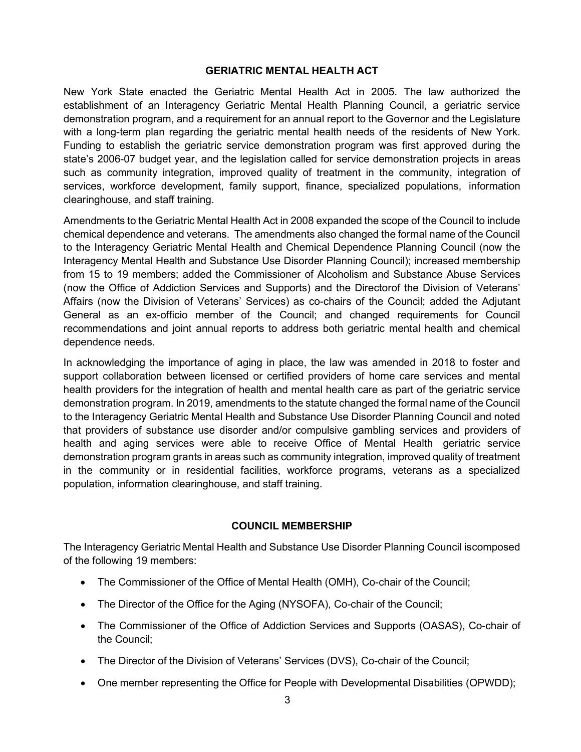#### **GERIATRIC MENTAL HEALTH ACT**

New York State enacted the Geriatric Mental Health Act in 2005. The law authorized the establishment of an Interagency Geriatric Mental Health Planning Council, a geriatric service demonstration program, and a requirement for an annual report to the Governor and the Legislature with a long-term plan regarding the geriatric mental health needs of the residents of New York. Funding to establish the geriatric service demonstration program was first approved during the state's 2006-07 budget year, and the legislation called for service demonstration projects in areas such as community integration, improved quality of treatment in the community, integration of services, workforce development, family support, finance, specialized populations, information clearinghouse, and staff training.

Amendments to the Geriatric Mental Health Act in 2008 expanded the scope of the Council to include chemical dependence and veterans. The amendments also changed the formal name of the Council to the Interagency Geriatric Mental Health and Chemical Dependence Planning Council (now the Interagency Mental Health and Substance Use Disorder Planning Council); increased membership from 15 to 19 members; added the Commissioner of Alcoholism and Substance Abuse Services (now the Office of Addiction Services and Supports) and the Directorof the Division of Veterans' Affairs (now the Division of Veterans' Services) as co-chairs of the Council; added the Adjutant General as an ex-officio member of the Council; and changed requirements for Council recommendations and joint annual reports to address both geriatric mental health and chemical dependence needs.

In acknowledging the importance of aging in place, the law was amended in 2018 to foster and support collaboration between licensed or certified providers of home care services and mental health providers for the integration of health and mental health care as part of the geriatric service demonstration program. In 2019, amendments to the statute changed the formal name of the Council to the Interagency Geriatric Mental Health and Substance Use Disorder Planning Council and noted that providers of substance use disorder and/or compulsive gambling services and providers of health and aging services were able to receive Office of Mental Health geriatric service demonstration program grants in areas such as community integration, improved quality of treatment in the community or in residential facilities, workforce programs, veterans as a specialized population, information clearinghouse, and staff training.

#### **COUNCIL MEMBERSHIP**

The Interagency Geriatric Mental Health and Substance Use Disorder Planning Council iscomposed of the following 19 members:

- The Commissioner of the Office of Mental Health (OMH), Co-chair of the Council;
- The Director of the Office for the Aging (NYSOFA), Co-chair of the Council;
- The Commissioner of the Office of Addiction Services and Supports (OASAS), Co-chair of the Council;
- The Director of the Division of Veterans' Services (DVS), Co-chair of the Council;
- One member representing the Office for People with Developmental Disabilities (OPWDD);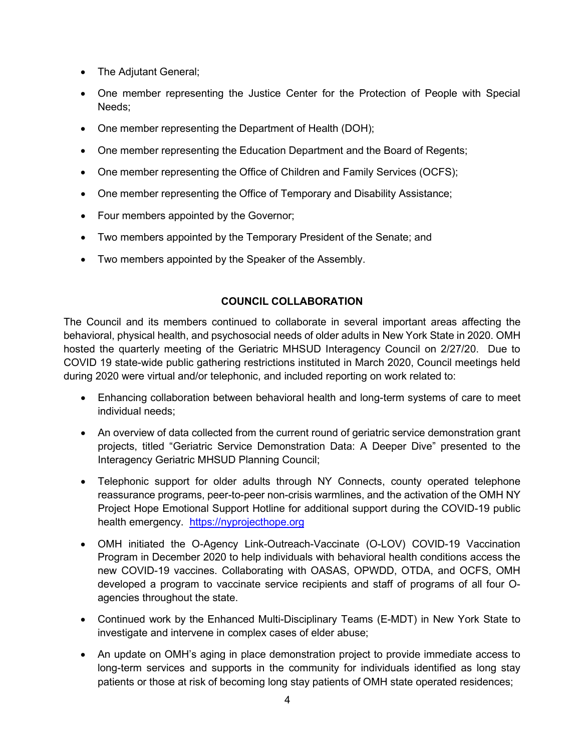- The Adjutant General;
- One member representing the Justice Center for the Protection of People with Special Needs;
- One member representing the Department of Health (DOH);
- One member representing the Education Department and the Board of Regents;
- One member representing the Office of Children and Family Services (OCFS);
- One member representing the Office of Temporary and Disability Assistance;
- Four members appointed by the Governor;
- Two members appointed by the Temporary President of the Senate; and
- Two members appointed by the Speaker of the Assembly.

## **COUNCIL COLLABORATION**

The Council and its members continued to collaborate in several important areas affecting the behavioral, physical health, and psychosocial needs of older adults in New York State in 2020. OMH hosted the quarterly meeting of the Geriatric MHSUD Interagency Council on 2/27/20. Due to COVID 19 state-wide public gathering restrictions instituted in March 2020, Council meetings held during 2020 were virtual and/or telephonic, and included reporting on work related to:

- Enhancing collaboration between behavioral health and long-term systems of care to meet individual needs;
- An overview of data collected from the current round of geriatric service demonstration grant projects, titled "Geriatric Service Demonstration Data: A Deeper Dive" presented to the Interagency Geriatric MHSUD Planning Council;
- Telephonic support for older adults through NY Connects, county operated telephone reassurance programs, peer-to-peer non-crisis warmlines, and the activation of the OMH NY Project Hope Emotional Support Hotline for additional support during the COVID-19 public health emergency. [https://nyprojecthope.org](https://nyprojecthope.org/)
- OMH initiated the O-Agency Link-Outreach-Vaccinate (O-LOV) COVID-19 Vaccination Program in December 2020 to help individuals with behavioral health conditions access the new COVID-19 vaccines. Collaborating with OASAS, OPWDD, OTDA, and OCFS, OMH developed a program to vaccinate service recipients and staff of programs of all four Oagencies throughout the state.
- Continued work by the Enhanced Multi-Disciplinary Teams (E-MDT) in New York State to investigate and intervene in complex cases of elder abuse;
- An update on OMH's aging in place demonstration project to provide immediate access to long-term services and supports in the community for individuals identified as long stay patients or those at risk of becoming long stay patients of OMH state operated residences;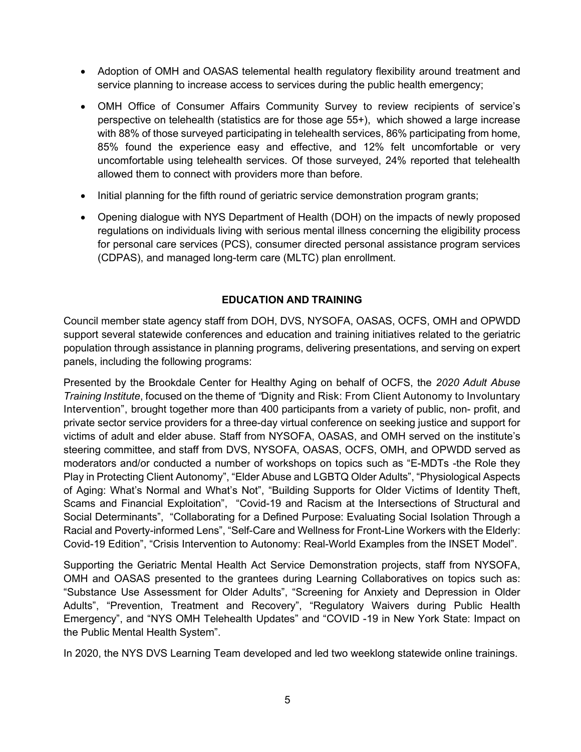- Adoption of OMH and OASAS telemental health regulatory flexibility around treatment and service planning to increase access to services during the public health emergency;
- OMH Office of Consumer Affairs Community Survey to review recipients of service's perspective on telehealth (statistics are for those age 55+), which showed a large increase with 88% of those surveyed participating in telehealth services, 86% participating from home, 85% found the experience easy and effective, and 12% felt uncomfortable or very uncomfortable using telehealth services. Of those surveyed, 24% reported that telehealth allowed them to connect with providers more than before.
- Initial planning for the fifth round of geriatric service demonstration program grants;
- Opening dialogue with NYS Department of Health (DOH) on the impacts of newly proposed regulations on individuals living with serious mental illness concerning the eligibility process for personal care services (PCS), consumer directed personal assistance program services (CDPAS), and managed long-term care (MLTC) plan enrollment.

#### **EDUCATION AND TRAINING**

Council member state agency staff from DOH, DVS, NYSOFA, OASAS, OCFS, OMH and OPWDD support several statewide conferences and education and training initiatives related to the geriatric population through assistance in planning programs, delivering presentations, and serving on expert panels, including the following programs:

Presented by the Brookdale Center for Healthy Aging on behalf of OCFS, the *2020 Adult Abuse Training Institute*, focused on the theme of *"*Dignity and Risk: From Client Autonomy to Involuntary Intervention", brought together more than 400 participants from a variety of public, non- profit, and private sector service providers for a three-day virtual conference on seeking justice and support for victims of adult and elder abuse. Staff from NYSOFA, OASAS, and OMH served on the institute's steering committee, and staff from DVS, NYSOFA, OASAS, OCFS, OMH, and OPWDD served as moderators and/or conducted a number of workshops on topics such as "E-MDTs -the Role they Play in Protecting Client Autonomy", "Elder Abuse and LGBTQ Older Adults", "Physiological Aspects of Aging: What's Normal and What's Not", "Building Supports for Older Victims of Identity Theft, Scams and Financial Exploitation", "Covid-19 and Racism at the Intersections of Structural and Social Determinants", "Collaborating for a Defined Purpose: Evaluating Social Isolation Through a Racial and Poverty-informed Lens", "Self-Care and Wellness for Front-Line Workers with the Elderly: Covid-19 Edition", "Crisis Intervention to Autonomy: Real-World Examples from the INSET Model".

Supporting the Geriatric Mental Health Act Service Demonstration projects, staff from NYSOFA, OMH and OASAS presented to the grantees during Learning Collaboratives on topics such as: "Substance Use Assessment for Older Adults", "Screening for Anxiety and Depression in Older Adults", "Prevention, Treatment and Recovery", "Regulatory Waivers during Public Health Emergency", and "NYS OMH Telehealth Updates" and "COVID -19 in New York State: Impact on the Public Mental Health System".

In 2020, the NYS DVS Learning Team developed and led two weeklong statewide online trainings.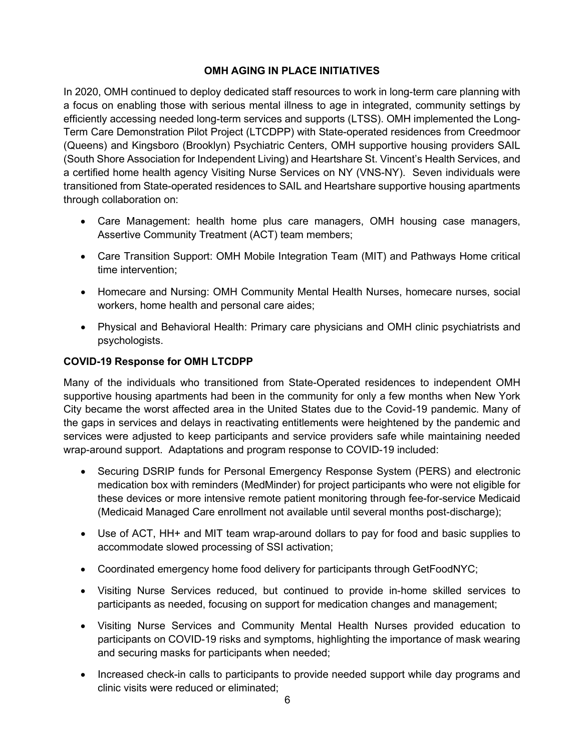## **OMH AGING IN PLACE INITIATIVES**

In 2020, OMH continued to deploy dedicated staff resources to work in long-term care planning with a focus on enabling those with serious mental illness to age in integrated, community settings by efficiently accessing needed long-term services and supports (LTSS). OMH implemented the Long-Term Care Demonstration Pilot Project (LTCDPP) with State-operated residences from Creedmoor (Queens) and Kingsboro (Brooklyn) Psychiatric Centers, OMH supportive housing providers SAIL (South Shore Association for Independent Living) and Heartshare St. Vincent's Health Services, and a certified home health agency Visiting Nurse Services on NY (VNS-NY). Seven individuals were transitioned from State-operated residences to SAIL and Heartshare supportive housing apartments through collaboration on:

- Care Management: health home plus care managers, OMH housing case managers, Assertive Community Treatment (ACT) team members;
- Care Transition Support: OMH Mobile Integration Team (MIT) and Pathways Home critical time intervention;
- Homecare and Nursing: OMH Community Mental Health Nurses, homecare nurses, social workers, home health and personal care aides;
- Physical and Behavioral Health: Primary care physicians and OMH clinic psychiatrists and psychologists.

## **COVID-19 Response for OMH LTCDPP**

Many of the individuals who transitioned from State-Operated residences to independent OMH supportive housing apartments had been in the community for only a few months when New York City became the worst affected area in the United States due to the Covid-19 pandemic. Many of the gaps in services and delays in reactivating entitlements were heightened by the pandemic and services were adjusted to keep participants and service providers safe while maintaining needed wrap-around support. Adaptations and program response to COVID-19 included:

- Securing DSRIP funds for Personal Emergency Response System (PERS) and electronic medication box with reminders (MedMinder) for project participants who were not eligible for these devices or more intensive remote patient monitoring through fee-for-service Medicaid (Medicaid Managed Care enrollment not available until several months post-discharge);
- Use of ACT, HH+ and MIT team wrap-around dollars to pay for food and basic supplies to accommodate slowed processing of SSI activation;
- Coordinated emergency home food delivery for participants through GetFoodNYC;
- Visiting Nurse Services reduced, but continued to provide in-home skilled services to participants as needed, focusing on support for medication changes and management;
- Visiting Nurse Services and Community Mental Health Nurses provided education to participants on COVID-19 risks and symptoms, highlighting the importance of mask wearing and securing masks for participants when needed;
- Increased check-in calls to participants to provide needed support while day programs and clinic visits were reduced or eliminated;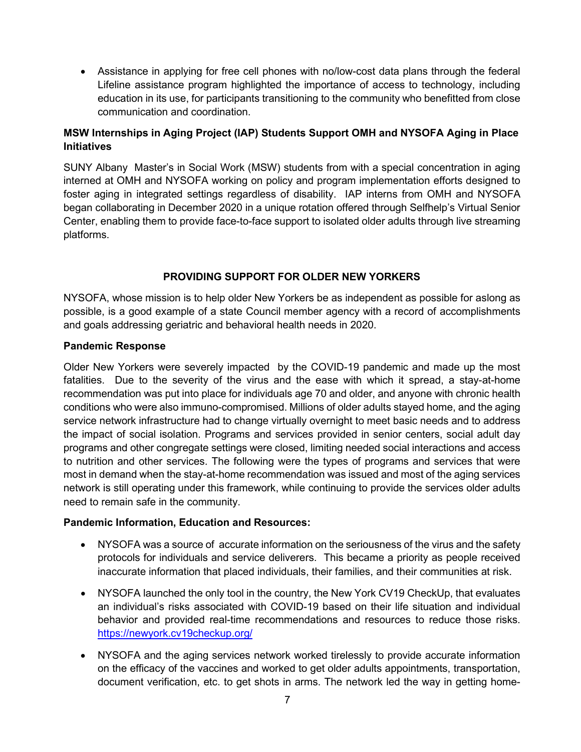• Assistance in applying for free cell phones with no/low-cost data plans through the federal Lifeline assistance program highlighted the importance of access to technology, including education in its use, for participants transitioning to the community who benefitted from close communication and coordination.

## **MSW Internships in Aging Project (IAP) Students Support OMH and NYSOFA Aging in Place Initiatives**

SUNY Albany Master's in Social Work (MSW) students from with a special concentration in aging interned at OMH and NYSOFA working on policy and program implementation efforts designed to foster aging in integrated settings regardless of disability. IAP interns from OMH and NYSOFA began collaborating in December 2020 in a unique rotation offered through Selfhelp's Virtual Senior Center, enabling them to provide face-to-face support to isolated older adults through live streaming platforms.

## **PROVIDING SUPPORT FOR OLDER NEW YORKERS**

NYSOFA, whose mission is to help older New Yorkers be as independent as possible for aslong as possible, is a good example of a state Council member agency with a record of accomplishments and goals addressing geriatric and behavioral health needs in 2020.

## **Pandemic Response**

Older New Yorkers were severely impacted by the COVID-19 pandemic and made up the most fatalities. Due to the severity of the virus and the ease with which it spread, a stay-at-home recommendation was put into place for individuals age 70 and older, and anyone with chronic health conditions who were also immuno-compromised. Millions of older adults stayed home, and the aging service network infrastructure had to change virtually overnight to meet basic needs and to address the impact of social isolation. Programs and services provided in senior centers, social adult day programs and other congregate settings were closed, limiting needed social interactions and access to nutrition and other services. The following were the types of programs and services that were most in demand when the stay-at-home recommendation was issued and most of the aging services network is still operating under this framework, while continuing to provide the services older adults need to remain safe in the community.

## **Pandemic Information, Education and Resources:**

- NYSOFA was a source of accurate information on the seriousness of the virus and the safety protocols for individuals and service deliverers. This became a priority as people received inaccurate information that placed individuals, their families, and their communities at risk.
- NYSOFA launched the only tool in the country, the New York CV19 CheckUp, that evaluates an individual's risks associated with COVID-19 based on their life situation and individual behavior and provided real-time recommendations and resources to reduce those risks. <https://newyork.cv19checkup.org/>
- NYSOFA and the aging services network worked tirelessly to provide accurate information on the efficacy of the vaccines and worked to get older adults appointments, transportation, document verification, etc. to get shots in arms. The network led the way in getting home-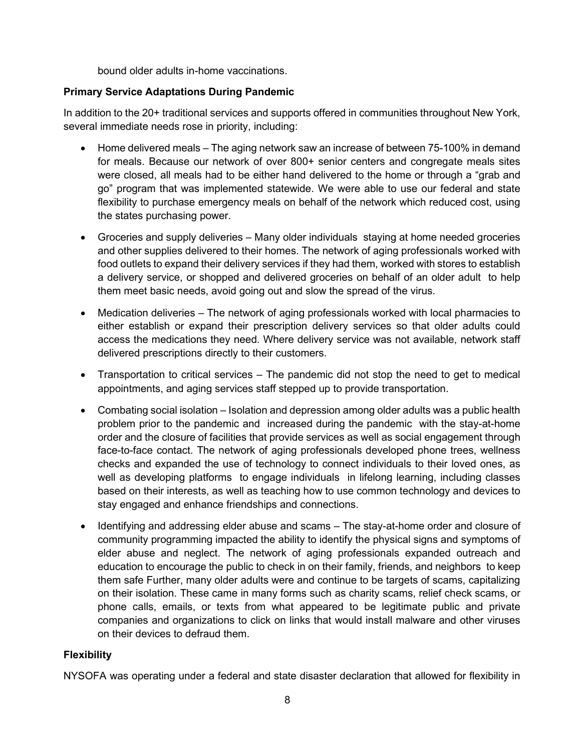bound older adults in-home vaccinations.

## **Primary Service Adaptations During Pandemic**

In addition to the 20+ traditional services and supports offered in communities throughout New York, several immediate needs rose in priority, including:

- Home delivered meals The aging network saw an increase of between 75-100% in demand for meals. Because our network of over 800+ senior centers and congregate meals sites were closed, all meals had to be either hand delivered to the home or through a "grab and go" program that was implemented statewide. We were able to use our federal and state flexibility to purchase emergency meals on behalf of the network which reduced cost, using the states purchasing power.
- Groceries and supply deliveries Many older individuals staying at home needed groceries and other supplies delivered to their homes. The network of aging professionals worked with food outlets to expand their delivery services if they had them, worked with stores to establish a delivery service, or shopped and delivered groceries on behalf of an older adult to help them meet basic needs, avoid going out and slow the spread of the virus.
- Medication deliveries The network of aging professionals worked with local pharmacies to either establish or expand their prescription delivery services so that older adults could access the medications they need. Where delivery service was not available, network staff delivered prescriptions directly to their customers.
- Transportation to critical services The pandemic did not stop the need to get to medical appointments, and aging services staff stepped up to provide transportation.
- Combating social isolation Isolation and depression among older adults was a public health problem prior to the pandemic and increased during the pandemic with the stay-at-home order and the closure of facilities that provide services as well as social engagement through face-to-face contact. The network of aging professionals developed phone trees, wellness checks and expanded the use of technology to connect individuals to their loved ones, as well as developing platforms to engage individuals in lifelong learning, including classes based on their interests, as well as teaching how to use common technology and devices to stay engaged and enhance friendships and connections.
- Identifying and addressing elder abuse and scams The stay-at-home order and closure of community programming impacted the ability to identify the physical signs and symptoms of elder abuse and neglect. The network of aging professionals expanded outreach and education to encourage the public to check in on their family, friends, and neighbors to keep them safe Further, many older adults were and continue to be targets of scams, capitalizing on their isolation. These came in many forms such as charity scams, relief check scams, or phone calls, emails, or texts from what appeared to be legitimate public and private companies and organizations to click on links that would install malware and other viruses on their devices to defraud them.

## **Flexibility**

NYSOFA was operating under a federal and state disaster declaration that allowed for flexibility in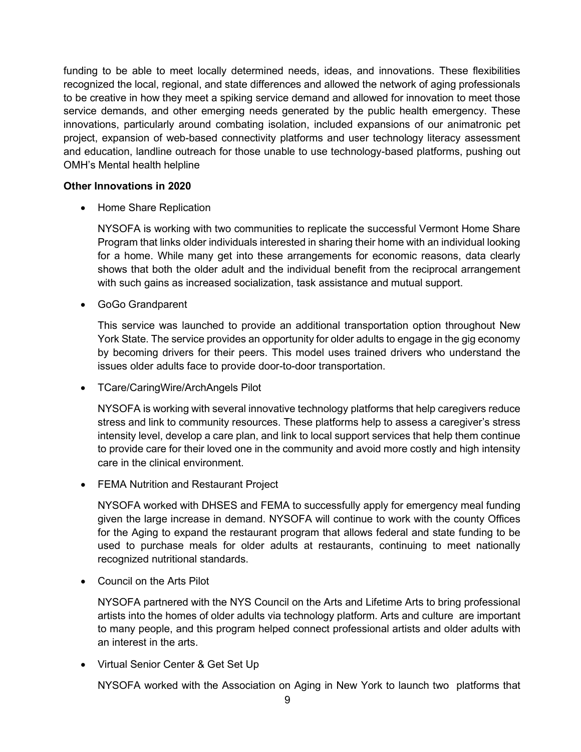funding to be able to meet locally determined needs, ideas, and innovations. These flexibilities recognized the local, regional, and state differences and allowed the network of aging professionals to be creative in how they meet a spiking service demand and allowed for innovation to meet those service demands, and other emerging needs generated by the public health emergency. These innovations, particularly around combating isolation, included expansions of our animatronic pet project, expansion of web-based connectivity platforms and user technology literacy assessment and education, landline outreach for those unable to use technology-based platforms, pushing out OMH's Mental health helpline

#### **Other Innovations in 2020**

• Home Share Replication

NYSOFA is working with two communities to replicate the successful Vermont Home Share Program that links older individuals interested in sharing their home with an individual looking for a home. While many get into these arrangements for economic reasons, data clearly shows that both the older adult and the individual benefit from the reciprocal arrangement with such gains as increased socialization, task assistance and mutual support.

• GoGo Grandparent

This service was launched to provide an additional transportation option throughout New York State. The service provides an opportunity for older adults to engage in the gig economy by becoming drivers for their peers. This model uses trained drivers who understand the issues older adults face to provide door-to-door transportation.

• TCare/CaringWire/ArchAngels Pilot

NYSOFA is working with several innovative technology platforms that help caregivers reduce stress and link to community resources. These platforms help to assess a caregiver's stress intensity level, develop a care plan, and link to local support services that help them continue to provide care for their loved one in the community and avoid more costly and high intensity care in the clinical environment.

• FEMA Nutrition and Restaurant Project

NYSOFA worked with DHSES and FEMA to successfully apply for emergency meal funding given the large increase in demand. NYSOFA will continue to work with the county Offices for the Aging to expand the restaurant program that allows federal and state funding to be used to purchase meals for older adults at restaurants, continuing to meet nationally recognized nutritional standards.

• Council on the Arts Pilot

NYSOFA partnered with the NYS Council on the Arts and Lifetime Arts to bring professional artists into the homes of older adults via technology platform. Arts and culture are important to many people, and this program helped connect professional artists and older adults with an interest in the arts.

• Virtual Senior Center & Get Set Up

NYSOFA worked with the Association on Aging in New York to launch two platforms that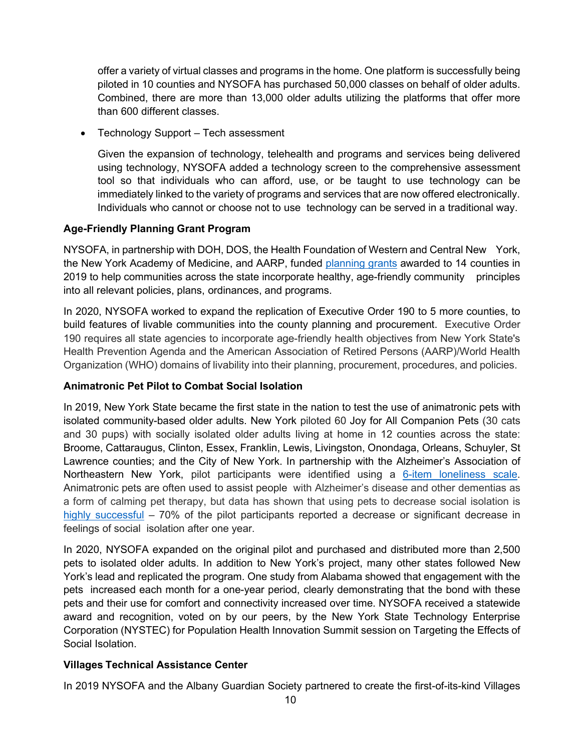offer a variety of virtual classes and programs in the home. One platform is successfully being piloted in 10 counties and NYSOFA has purchased 50,000 classes on behalf of older adults. Combined, there are more than 13,000 older adults utilizing the platforms that offer more than 600 different classes.

• Technology Support – Tech assessment

Given the expansion of technology, telehealth and programs and services being delivered using technology, NYSOFA added a technology screen to the comprehensive assessment tool so that individuals who can afford, use, or be taught to use technology can be immediately linked to the variety of programs and services that are now offered electronically. Individuals who cannot or choose not to use technology can be served in a traditional way.

## **Age-Friendly Planning Grant Program**

NYSOFA, in partnership with DOH, DOS, the Health Foundation of Western and Central New York, the New York Academy of Medicine, and AARP, funded [planning grants](https://aging.ny.gov/news/new-york-state-office-aging-department-health-and-department-state-announce-award-recipients) awarded to 14 counties in 2019 to help communities across the state incorporate healthy, age-friendly community principles into all relevant policies, plans, ordinances, and programs.

In 2020, NYSOFA worked to expand the replication of Executive Order 190 to 5 more counties, to build features of livable communities into the county planning and procurement. Executive Order 190 requires all state agencies to incorporate age-friendly health objectives from New York State's Health Prevention Agenda and the American Association of Retired Persons (AARP)/World Health Organization (WHO) domains of livability into their planning, procurement, procedures, and policies.

#### **Animatronic Pet Pilot to Combat Social Isolation**

In 2019, New York State became the first state in the nation to test the use of animatronic pets with isolated community-based older adults. New York piloted 60 Joy for All Companion Pets (30 cats and 30 pups) with socially isolated older adults living at home in 12 counties across the state: Broome, Cattaraugus, Clinton, Essex, Franklin, Lewis, Livingston, Onondaga, Orleans, Schuyler, St Lawrence counties; and the City of New York. In partnership with the Alzheimer's Association of Northeastern New York, pilot participants were identified using a 6-item [loneliness scale.](https://www1.nyc.gov/assets/dfta/downloads/pdf/about/dejong_gierveld_loneliness_scale.pdf) Animatronic pets are often used to assist people with Alzheimer's disease and other dementias as a form of calming pet therapy, but data has shown that using pets to decrease social isolation is [highly successful](https://www.mynbc5.com/article/robotic-pets-could-be-solution-to-social-isolation-depression-in-older-adults/27312491) – 70% of the pilot participants reported a decrease or significant decrease in feelings of social isolation after one year.

In 2020, NYSOFA expanded on the original pilot and purchased and distributed more than 2,500 pets to isolated older adults. In addition to New York's project, many other states followed New York's lead and replicated the program. One study from Alabama showed that engagement with the pets increased each month for a one-year period, clearly demonstrating that the bond with these pets and their use for comfort and connectivity increased over time. NYSOFA received a statewide award and recognition, voted on by our peers, by the New York State Technology Enterprise Corporation (NYSTEC) for Population Health Innovation Summit session on Targeting the Effects of Social Isolation.

## **Villages Technical Assistance Center**

In 2019 NYSOFA and the Albany Guardian Society partnered to create the first-of-its-kind Villages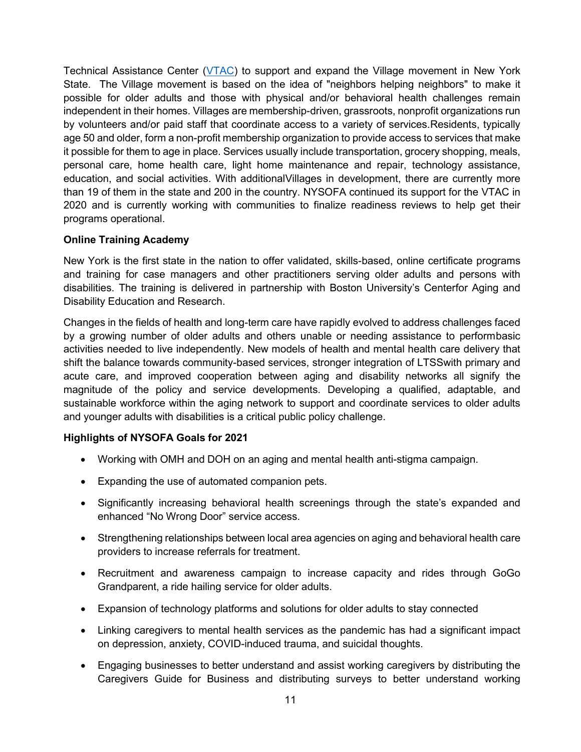Technical Assistance Center [\(VTAC\)](https://crvillages.org/home-2/) to support and expand the Village movement in New York State. The Village movement is based on the idea of "neighbors helping neighbors" to make it possible for older adults and those with physical and/or behavioral health challenges remain independent in their homes. Villages are membership-driven, grassroots, nonprofit organizations run by volunteers and/or paid staff that coordinate access to a variety of services.Residents, typically age 50 and older, form a non-profit membership organization to provide access to services that make it possible for them to age in place. Services usually include transportation, grocery shopping, meals, personal care, home health care, light home maintenance and repair, technology assistance, education, and social activities. With additionalVillages in development, there are currently more than 19 of them in the state and 200 in the country. NYSOFA continued its support for the VTAC in 2020 and is currently working with communities to finalize readiness reviews to help get their programs operational.

#### **Online Training Academy**

New York is the first state in the nation to offer validated, skills-based, online certificate programs and training for case managers and other practitioners serving older adults and persons with disabilities. The training is delivered in partnership with Boston University's Centerfor Aging and Disability Education and Research.

Changes in the fields of health and long-term care have rapidly evolved to address challenges faced by a growing number of older adults and others unable or needing assistance to performbasic activities needed to live independently. New models of health and mental health care delivery that shift the balance towards community-based services, stronger integration of LTSSwith primary and acute care, and improved cooperation between aging and disability networks all signify the magnitude of the policy and service developments. Developing a qualified, adaptable, and sustainable workforce within the aging network to support and coordinate services to older adults and younger adults with disabilities is a critical public policy challenge.

#### **Highlights of NYSOFA Goals for 2021**

- Working with OMH and DOH on an aging and mental health anti-stigma campaign.
- Expanding the use of automated companion pets.
- Significantly increasing behavioral health screenings through the state's expanded and enhanced "No Wrong Door" service access.
- Strengthening relationships between local area agencies on aging and behavioral health care providers to increase referrals for treatment.
- Recruitment and awareness campaign to increase capacity and rides through GoGo Grandparent, a ride hailing service for older adults.
- Expansion of technology platforms and solutions for older adults to stay connected
- Linking caregivers to mental health services as the pandemic has had a significant impact on depression, anxiety, COVID-induced trauma, and suicidal thoughts.
- Engaging businesses to better understand and assist working caregivers by distributing the Caregivers Guide for Business and distributing surveys to better understand working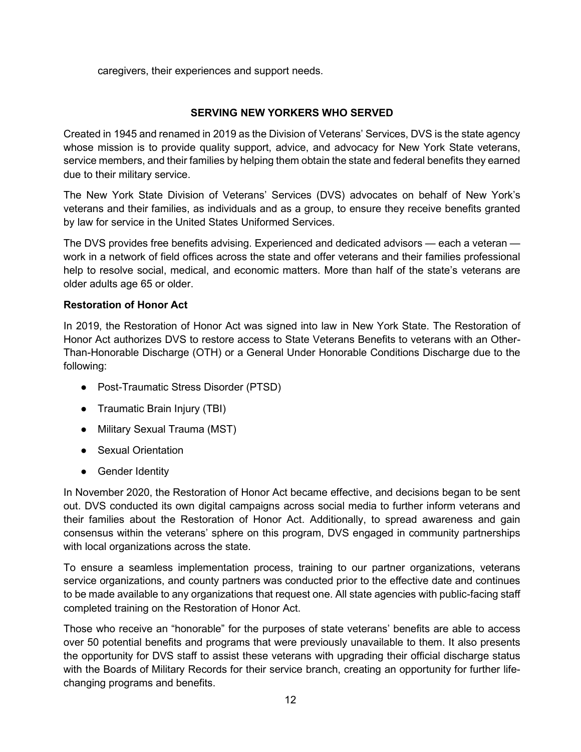caregivers, their experiences and support needs.

## **SERVING NEW YORKERS WHO SERVED**

Created in 1945 and renamed in 2019 as the Division of Veterans' Services, DVS is the state agency whose mission is to provide quality support, advice, and advocacy for New York State veterans, service members, and their families by helping them obtain the state and federal benefits they earned due to their military service.

The New York State Division of Veterans' Services (DVS) advocates on behalf of New York's veterans and their families, as individuals and as a group, to ensure they receive benefits granted by law for service in the United States Uniformed Services.

The DVS provides free benefits advising. Experienced and dedicated advisors — each a veteran work in a network of field offices across the state and offer veterans and their families professional help to resolve social, medical, and economic matters. More than half of the state's veterans are older adults age 65 or older.

## **Restoration of Honor Act**

In 2019, the Restoration of Honor Act was signed into law in New York State. The Restoration of Honor Act authorizes DVS to restore access to State Veterans Benefits to veterans with an Other-Than-Honorable Discharge (OTH) or a General Under Honorable Conditions Discharge due to the following:

- Post-Traumatic Stress Disorder (PTSD)
- Traumatic Brain Injury (TBI)
- Military Sexual Trauma (MST)
- Sexual Orientation
- Gender Identity

In November 2020, the Restoration of Honor Act became effective, and decisions began to be sent out. DVS conducted its own digital campaigns across social media to further inform veterans and their families about the Restoration of Honor Act. Additionally, to spread awareness and gain consensus within the veterans' sphere on this program, DVS engaged in community partnerships with local organizations across the state.

To ensure a seamless implementation process, training to our partner organizations, veterans service organizations, and county partners was conducted prior to the effective date and continues to be made available to any organizations that request one. All state agencies with public-facing staff completed training on the Restoration of Honor Act.

Those who receive an "honorable" for the purposes of state veterans' benefits are able to access over 50 potential benefits and programs that were previously unavailable to them. It also presents the opportunity for DVS staff to assist these veterans with upgrading their official discharge status with the Boards of Military Records for their service branch, creating an opportunity for further lifechanging programs and benefits.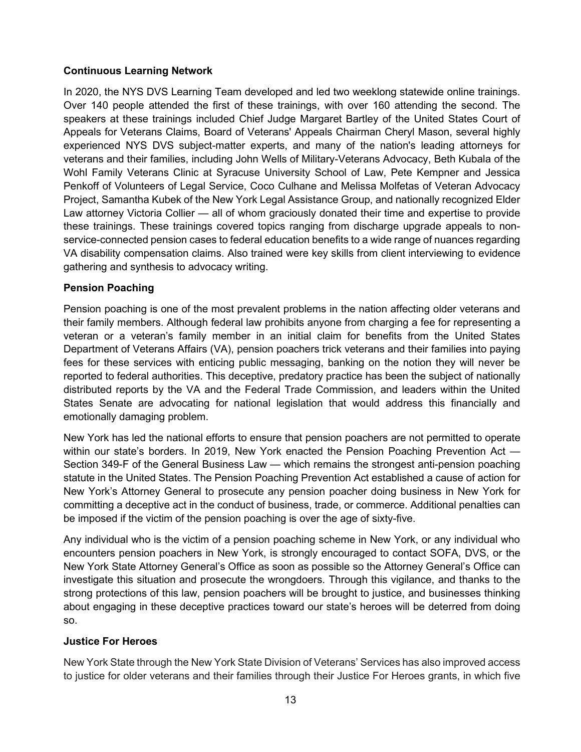## **Continuous Learning Network**

In 2020, the NYS DVS Learning Team developed and led two weeklong statewide online trainings. Over 140 people attended the first of these trainings, with over 160 attending the second. The speakers at these trainings included Chief Judge Margaret Bartley of the United States Court of Appeals for Veterans Claims, Board of Veterans' Appeals Chairman Cheryl Mason, several highly experienced NYS DVS subject-matter experts, and many of the nation's leading attorneys for veterans and their families, including John Wells of Military-Veterans Advocacy, Beth Kubala of the Wohl Family Veterans Clinic at Syracuse University School of Law, Pete Kempner and Jessica Penkoff of Volunteers of Legal Service, Coco Culhane and Melissa Molfetas of Veteran Advocacy Project, Samantha Kubek of the New York Legal Assistance Group, and nationally recognized Elder Law attorney Victoria Collier — all of whom graciously donated their time and expertise to provide these trainings. These trainings covered topics ranging from discharge upgrade appeals to nonservice-connected pension cases to federal education benefits to a wide range of nuances regarding VA disability compensation claims. Also trained were key skills from client interviewing to evidence gathering and synthesis to advocacy writing.

## **Pension Poaching**

Pension poaching is one of the most prevalent problems in the nation affecting older veterans and their family members. Although federal law prohibits anyone from charging a fee for representing a veteran or a veteran's family member in an initial claim for benefits from the United States Department of Veterans Affairs (VA), pension poachers trick veterans and their families into paying fees for these services with enticing public messaging, banking on the notion they will never be reported to federal authorities. This deceptive, predatory practice has been the subject of nationally distributed reports by the VA and the Federal Trade Commission, and leaders within the United States Senate are advocating for national legislation that would address this financially and emotionally damaging problem.

New York has led the national efforts to ensure that pension poachers are not permitted to operate within our state's borders. In 2019, New York enacted the Pension Poaching Prevention Act — Section 349-F of the General Business Law — which remains the strongest anti-pension poaching statute in the United States. The Pension Poaching Prevention Act established a cause of action for New York's Attorney General to prosecute any pension poacher doing business in New York for committing a deceptive act in the conduct of business, trade, or commerce. Additional penalties can be imposed if the victim of the pension poaching is over the age of sixty-five.

Any individual who is the victim of a pension poaching scheme in New York, or any individual who encounters pension poachers in New York, is strongly encouraged to contact SOFA, DVS, or the New York State Attorney General's Office as soon as possible so the Attorney General's Office can investigate this situation and prosecute the wrongdoers. Through this vigilance, and thanks to the strong protections of this law, pension poachers will be brought to justice, and businesses thinking about engaging in these deceptive practices toward our state's heroes will be deterred from doing so.

#### **Justice For Heroes**

New York State through the New York State Division of Veterans' Services has also improved access to justice for older veterans and their families through their Justice For Heroes grants, in which five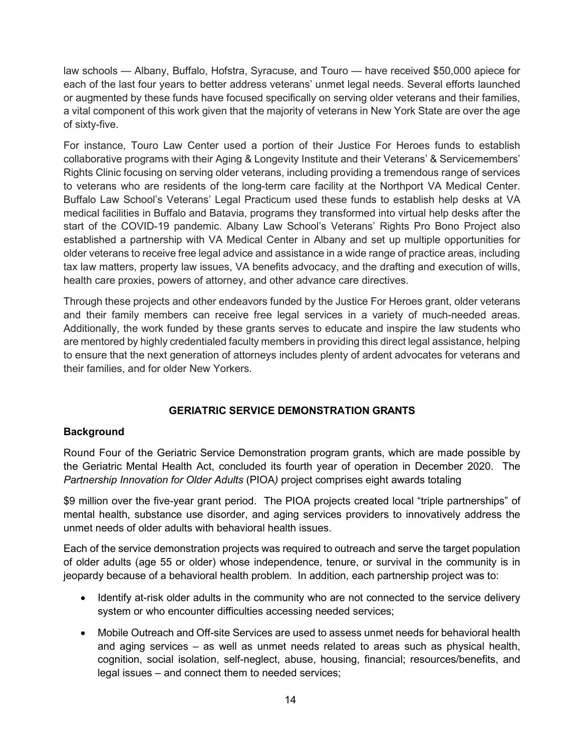law schools — Albany, Buffalo, Hofstra, Syracuse, and Touro — have received \$50,000 apiece for each of the last four years to better address veterans' unmet legal needs. Several efforts launched or augmented by these funds have focused specifically on serving older veterans and their families, a vital component of this work given that the majority of veterans in New York State are over the age of sixty-five.

For instance, Touro Law Center used a portion of their Justice For Heroes funds to establish collaborative programs with their Aging & Longevity Institute and their Veterans' & Servicemembers' Rights Clinic focusing on serving older veterans, including providing a tremendous range of services to veterans who are residents of the long-term care facility at the Northport VA Medical Center. Buffalo Law School's Veterans' Legal Practicum used these funds to establish help desks at VA medical facilities in Buffalo and Batavia, programs they transformed into virtual help desks after the start of the COVID-19 pandemic. Albany Law School's Veterans' Rights Pro Bono Project also established a partnership with VA Medical Center in Albany and set up multiple opportunities for older veterans to receive free legal advice and assistance in a wide range of practice areas, including tax law matters, property law issues, VA benefits advocacy, and the drafting and execution of wills, health care proxies, powers of attorney, and other advance care directives.

Through these projects and other endeavors funded by the Justice For Heroes grant, older veterans and their family members can receive free legal services in a variety of much-needed areas. Additionally, the work funded by these grants serves to educate and inspire the law students who are mentored by highly credentialed faculty members in providing this direct legal assistance, helping to ensure that the next generation of attorneys includes plenty of ardent advocates for veterans and their families, and for older New Yorkers.

## **GERIATRIC SERVICE DEMONSTRATION GRANTS**

#### **Background**

Round Four of the Geriatric Service Demonstration program grants, which are made possible by the Geriatric Mental Health Act, concluded its fourth year of operation in December 2020. The *Partnership Innovation for Older Adults* (PIOA*)* project comprises eight awards totaling

\$9 million over the five-year grant period. The PIOA projects created local "triple partnerships" of mental health, substance use disorder, and aging services providers to innovatively address the unmet needs of older adults with behavioral health issues.

Each of the service demonstration projects was required to outreach and serve the target population of older adults (age 55 or older) whose independence, tenure, or survival in the community is in jeopardy because of a behavioral health problem. In addition, each partnership project was to:

- Identify at-risk older adults in the community who are not connected to the service delivery system or who encounter difficulties accessing needed services;
- Mobile Outreach and Off-site Services are used to assess unmet needs for behavioral health and aging services – as well as unmet needs related to areas such as physical health, cognition, social isolation, self-neglect, abuse, housing, financial; resources/benefits, and legal issues – and connect them to needed services;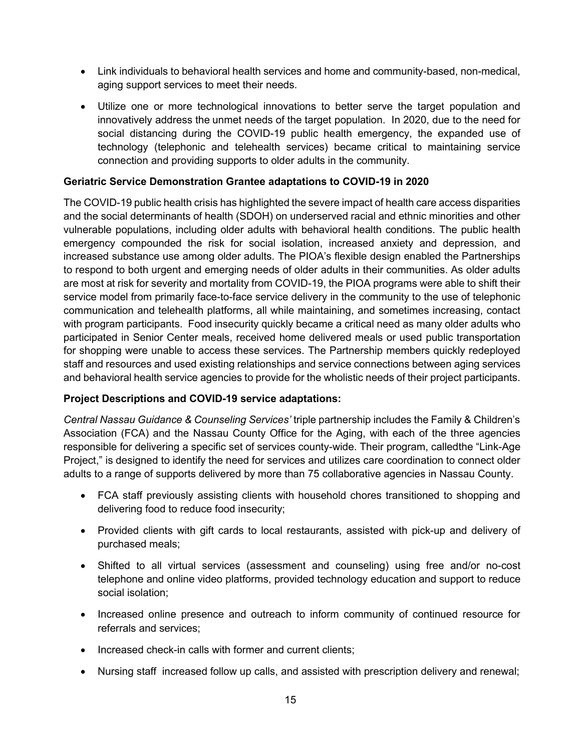- Link individuals to behavioral health services and home and community-based, non-medical, aging support services to meet their needs.
- Utilize one or more technological innovations to better serve the target population and innovatively address the unmet needs of the target population. In 2020, due to the need for social distancing during the COVID-19 public health emergency, the expanded use of technology (telephonic and telehealth services) became critical to maintaining service connection and providing supports to older adults in the community.

#### **Geriatric Service Demonstration Grantee adaptations to COVID-19 in 2020**

The COVID-19 public health crisis has highlighted the severe impact of health care access disparities and the social determinants of health (SDOH) on underserved racial and ethnic minorities and other vulnerable populations, including older adults with behavioral health conditions. The public health emergency compounded the risk for social isolation, increased anxiety and depression, and increased substance use among older adults. The PIOA's flexible design enabled the Partnerships to respond to both urgent and emerging needs of older adults in their communities. As older adults are most at risk for severity and mortality from COVID-19, the PIOA programs were able to shift their service model from primarily face-to-face service delivery in the community to the use of telephonic communication and telehealth platforms, all while maintaining, and sometimes increasing, contact with program participants. Food insecurity quickly became a critical need as many older adults who participated in Senior Center meals, received home delivered meals or used public transportation for shopping were unable to access these services. The Partnership members quickly redeployed staff and resources and used existing relationships and service connections between aging services and behavioral health service agencies to provide for the wholistic needs of their project participants.

## **Project Descriptions and COVID-19 service adaptations:**

*Central Nassau Guidance & Counseling Services'* triple partnership includes the Family & Children's Association (FCA) and the Nassau County Office for the Aging, with each of the three agencies responsible for delivering a specific set of services county-wide. Their program, calledthe "Link-Age Project," is designed to identify the need for services and utilizes care coordination to connect older adults to a range of supports delivered by more than 75 collaborative agencies in Nassau County.

- FCA staff previously assisting clients with household chores transitioned to shopping and delivering food to reduce food insecurity;
- Provided clients with gift cards to local restaurants, assisted with pick-up and delivery of purchased meals;
- Shifted to all virtual services (assessment and counseling) using free and/or no-cost telephone and online video platforms, provided technology education and support to reduce social isolation;
- Increased online presence and outreach to inform community of continued resource for referrals and services;
- Increased check-in calls with former and current clients;
- Nursing staff increased follow up calls, and assisted with prescription delivery and renewal;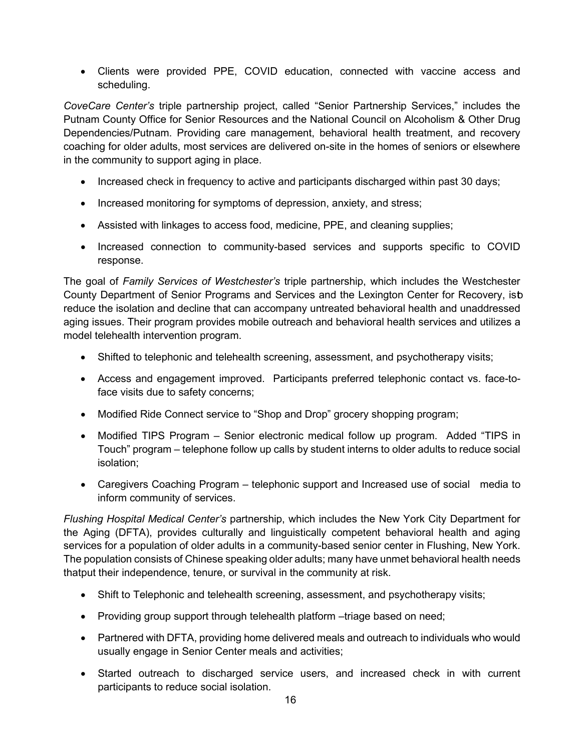• Clients were provided PPE, COVID education, connected with vaccine access and scheduling.

*CoveCare Center's* triple partnership project, called "Senior Partnership Services," includes the Putnam County Office for Senior Resources and the National Council on Alcoholism & Other Drug Dependencies/Putnam. Providing care management, behavioral health treatment, and recovery coaching for older adults, most services are delivered on-site in the homes of seniors or elsewhere in the community to support aging in place.

- Increased check in frequency to active and participants discharged within past 30 days;
- Increased monitoring for symptoms of depression, anxiety, and stress;
- Assisted with linkages to access food, medicine, PPE, and cleaning supplies;
- Increased connection to community-based services and supports specific to COVID response.

The goal of *Family Services of Westchester's* triple partnership, which includes the Westchester County Department of Senior Programs and Services and the Lexington Center for Recovery, isb reduce the isolation and decline that can accompany untreated behavioral health and unaddressed aging issues. Their program provides mobile outreach and behavioral health services and utilizes a model telehealth intervention program.

- Shifted to telephonic and telehealth screening, assessment, and psychotherapy visits;
- Access and engagement improved. Participants preferred telephonic contact vs. face-toface visits due to safety concerns;
- Modified Ride Connect service to "Shop and Drop" grocery shopping program;
- Modified TIPS Program Senior electronic medical follow up program. Added "TIPS in Touch" program – telephone follow up calls by student interns to older adults to reduce social isolation;
- Caregivers Coaching Program telephonic support and Increased use of social media to inform community of services.

*Flushing Hospital Medical Center's* partnership, which includes the New York City Department for the Aging (DFTA), provides culturally and linguistically competent behavioral health and aging services for a population of older adults in a community-based senior center in Flushing, New York. The population consists of Chinese speaking older adults; many have unmet behavioral health needs thatput their independence, tenure, or survival in the community at risk.

- Shift to Telephonic and telehealth screening, assessment, and psychotherapy visits;
- Providing group support through telehealth platform –triage based on need;
- Partnered with DFTA, providing home delivered meals and outreach to individuals who would usually engage in Senior Center meals and activities;
- Started outreach to discharged service users, and increased check in with current participants to reduce social isolation.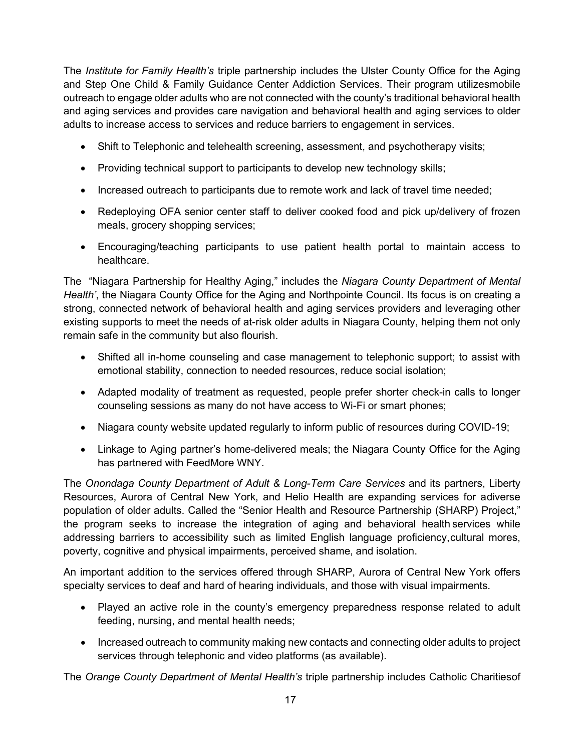The *Institute for Family Health's* triple partnership includes the Ulster County Office for the Aging and Step One Child & Family Guidance Center Addiction Services. Their program utilizesmobile outreach to engage older adults who are not connected with the county's traditional behavioral health and aging services and provides care navigation and behavioral health and aging services to older adults to increase access to services and reduce barriers to engagement in services.

- Shift to Telephonic and telehealth screening, assessment, and psychotherapy visits;
- Providing technical support to participants to develop new technology skills;
- Increased outreach to participants due to remote work and lack of travel time needed;
- Redeploying OFA senior center staff to deliver cooked food and pick up/delivery of frozen meals, grocery shopping services;
- Encouraging/teaching participants to use patient health portal to maintain access to healthcare.

The "Niagara Partnership for Healthy Aging," includes the *Niagara County Department of Mental Health'*, the Niagara County Office for the Aging and Northpointe Council. Its focus is on creating a strong, connected network of behavioral health and aging services providers and leveraging other existing supports to meet the needs of at-risk older adults in Niagara County, helping them not only remain safe in the community but also flourish.

- Shifted all in-home counseling and case management to telephonic support; to assist with emotional stability, connection to needed resources, reduce social isolation;
- Adapted modality of treatment as requested, people prefer shorter check-in calls to longer counseling sessions as many do not have access to Wi-Fi or smart phones;
- Niagara county website updated regularly to inform public of resources during COVID-19;
- Linkage to Aging partner's home-delivered meals; the Niagara County Office for the Aging has partnered with FeedMore WNY.

The *Onondaga County Department of Adult & Long-Term Care Services* and its partners, Liberty Resources, Aurora of Central New York, and Helio Health are expanding services for adiverse population of older adults. Called the "Senior Health and Resource Partnership (SHARP) Project," the program seeks to increase the integration of aging and behavioral health services while addressing barriers to accessibility such as limited English language proficiency,cultural mores, poverty, cognitive and physical impairments, perceived shame, and isolation.

An important addition to the services offered through SHARP, Aurora of Central New York offers specialty services to deaf and hard of hearing individuals, and those with visual impairments.

- Played an active role in the county's emergency preparedness response related to adult feeding, nursing, and mental health needs;
- Increased outreach to community making new contacts and connecting older adults to project services through telephonic and video platforms (as available).

The *Orange County Department of Mental Health's* triple partnership includes Catholic Charitiesof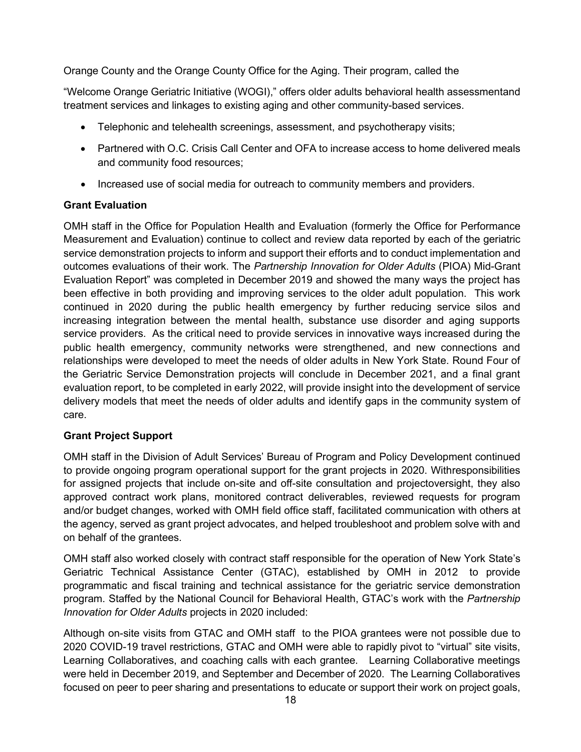Orange County and the Orange County Office for the Aging. Their program, called the

"Welcome Orange Geriatric Initiative (WOGI)," offers older adults behavioral health assessmentand treatment services and linkages to existing aging and other community-based services.

- Telephonic and telehealth screenings, assessment, and psychotherapy visits;
- Partnered with O.C. Crisis Call Center and OFA to increase access to home delivered meals and community food resources;
- Increased use of social media for outreach to community members and providers.

## **Grant Evaluation**

OMH staff in the Office for Population Health and Evaluation (formerly the Office for Performance Measurement and Evaluation) continue to collect and review data reported by each of the geriatric service demonstration projects to inform and support their efforts and to conduct implementation and outcomes evaluations of their work. The *Partnership Innovation for Older Adults* (PIOA) Mid-Grant Evaluation Report" was completed in December 2019 and showed the many ways the project has been effective in both providing and improving services to the older adult population. This work continued in 2020 during the public health emergency by further reducing service silos and increasing integration between the mental health, substance use disorder and aging supports service providers. As the critical need to provide services in innovative ways increased during the public health emergency, community networks were strengthened, and new connections and relationships were developed to meet the needs of older adults in New York State. Round Four of the Geriatric Service Demonstration projects will conclude in December 2021, and a final grant evaluation report, to be completed in early 2022, will provide insight into the development of service delivery models that meet the needs of older adults and identify gaps in the community system of care.

## **Grant Project Support**

OMH staff in the Division of Adult Services' Bureau of Program and Policy Development continued to provide ongoing program operational support for the grant projects in 2020. Withresponsibilities for assigned projects that include on-site and off-site consultation and projectoversight, they also approved contract work plans, monitored contract deliverables, reviewed requests for program and/or budget changes, worked with OMH field office staff, facilitated communication with others at the agency, served as grant project advocates, and helped troubleshoot and problem solve with and on behalf of the grantees.

OMH staff also worked closely with contract staff responsible for the operation of New York State's Geriatric Technical Assistance Center (GTAC), established by OMH in 2012 to provide programmatic and fiscal training and technical assistance for the geriatric service demonstration program. Staffed by the National Council for Behavioral Health, GTAC's work with the *Partnership Innovation for Older Adults* projects in 2020 included:

Although on-site visits from GTAC and OMH staff to the PIOA grantees were not possible due to 2020 COVID-19 travel restrictions, GTAC and OMH were able to rapidly pivot to "virtual" site visits, Learning Collaboratives, and coaching calls with each grantee. Learning Collaborative meetings were held in December 2019, and September and December of 2020. The Learning Collaboratives focused on peer to peer sharing and presentations to educate or support their work on project goals,